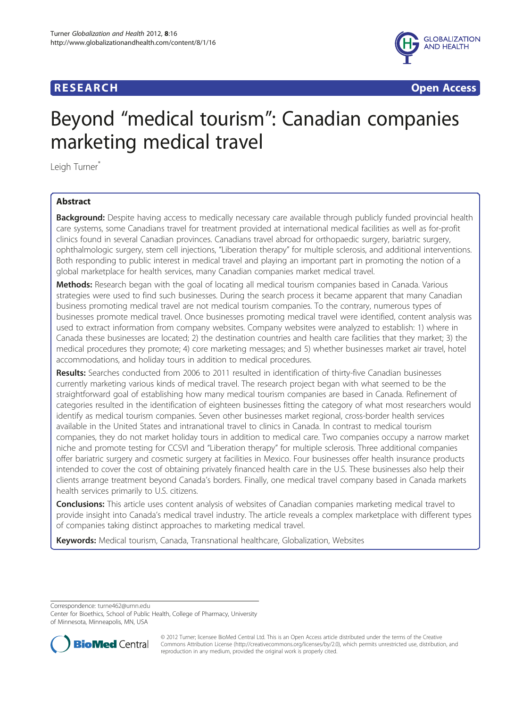## **RESEARCH RESEARCH** *CHECKER CHECKER CONTROLLER CHECKER CHECKER CHECKER CHECKER CHECKER CHECKER* **CHECKER CHECKER**



# Beyond "medical tourism": Canadian companies marketing medical travel

Leigh Turner<sup>\*</sup>

## Abstract

**Background:** Despite having access to medically necessary care available through publicly funded provincial health care systems, some Canadians travel for treatment provided at international medical facilities as well as for-profit clinics found in several Canadian provinces. Canadians travel abroad for orthopaedic surgery, bariatric surgery, ophthalmologic surgery, stem cell injections, "Liberation therapy" for multiple sclerosis, and additional interventions. Both responding to public interest in medical travel and playing an important part in promoting the notion of a global marketplace for health services, many Canadian companies market medical travel.

Methods: Research began with the goal of locating all medical tourism companies based in Canada. Various strategies were used to find such businesses. During the search process it became apparent that many Canadian business promoting medical travel are not medical tourism companies. To the contrary, numerous types of businesses promote medical travel. Once businesses promoting medical travel were identified, content analysis was used to extract information from company websites. Company websites were analyzed to establish: 1) where in Canada these businesses are located; 2) the destination countries and health care facilities that they market; 3) the medical procedures they promote; 4) core marketing messages; and 5) whether businesses market air travel, hotel accommodations, and holiday tours in addition to medical procedures.

Results: Searches conducted from 2006 to 2011 resulted in identification of thirty-five Canadian businesses currently marketing various kinds of medical travel. The research project began with what seemed to be the straightforward goal of establishing how many medical tourism companies are based in Canada. Refinement of categories resulted in the identification of eighteen businesses fitting the category of what most researchers would identify as medical tourism companies. Seven other businesses market regional, cross-border health services available in the United States and intranational travel to clinics in Canada. In contrast to medical tourism companies, they do not market holiday tours in addition to medical care. Two companies occupy a narrow market niche and promote testing for CCSVI and "Liberation therapy" for multiple sclerosis. Three additional companies offer bariatric surgery and cosmetic surgery at facilities in Mexico. Four businesses offer health insurance products intended to cover the cost of obtaining privately financed health care in the U.S. These businesses also help their clients arrange treatment beyond Canada's borders. Finally, one medical travel company based in Canada markets health services primarily to U.S. citizens.

**Conclusions:** This article uses content analysis of websites of Canadian companies marketing medical travel to provide insight into Canada's medical travel industry. The article reveals a complex marketplace with different types of companies taking distinct approaches to marketing medical travel.

Keywords: Medical tourism, Canada, Transnational healthcare, Globalization, Websites

Correspondence: [turne462@umn.edu](mailto:turne462@umn.edu)

Center for Bioethics, School of Public Health, College of Pharmacy, University of Minnesota, Minneapolis, MN, USA



© 2012 Turner; licensee BioMed Central Ltd. This is an Open Access article distributed under the terms of the Creative Commons Attribution License [\(http://creativecommons.org/licenses/by/2.0\)](http://creativecommons.org/licenses/by/2.0), which permits unrestricted use, distribution, and reproduction in any medium, provided the original work is properly cited.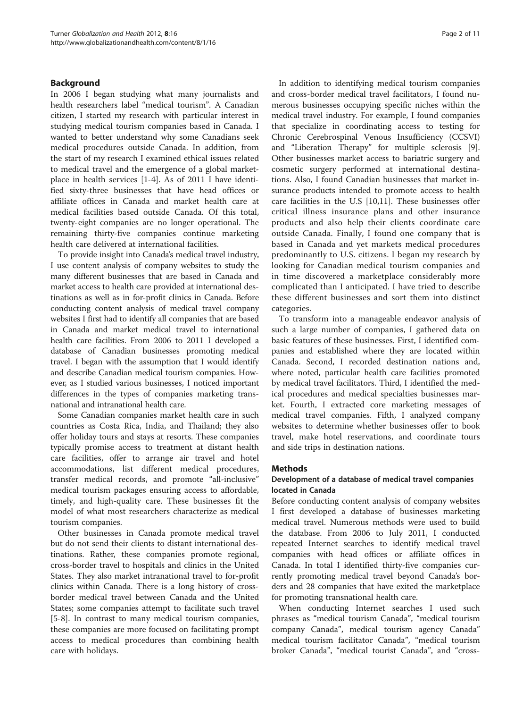## Background

In 2006 I began studying what many journalists and health researchers label "medical tourism". A Canadian citizen, I started my research with particular interest in studying medical tourism companies based in Canada. I wanted to better understand why some Canadians seek medical procedures outside Canada. In addition, from the start of my research I examined ethical issues related to medical travel and the emergence of a global marketplace in health services [\[1](#page-9-0)-[4\]](#page-9-0). As of 2011 I have identified sixty-three businesses that have head offices or affiliate offices in Canada and market health care at medical facilities based outside Canada. Of this total, twenty-eight companies are no longer operational. The remaining thirty-five companies continue marketing health care delivered at international facilities.

To provide insight into Canada's medical travel industry, I use content analysis of company websites to study the many different businesses that are based in Canada and market access to health care provided at international destinations as well as in for-profit clinics in Canada. Before conducting content analysis of medical travel company websites I first had to identify all companies that are based in Canada and market medical travel to international health care facilities. From 2006 to 2011 I developed a database of Canadian businesses promoting medical travel. I began with the assumption that I would identify and describe Canadian medical tourism companies. However, as I studied various businesses, I noticed important differences in the types of companies marketing transnational and intranational health care.

Some Canadian companies market health care in such countries as Costa Rica, India, and Thailand; they also offer holiday tours and stays at resorts. These companies typically promise access to treatment at distant health care facilities, offer to arrange air travel and hotel accommodations, list different medical procedures, transfer medical records, and promote "all-inclusive" medical tourism packages ensuring access to affordable, timely, and high-quality care. These businesses fit the model of what most researchers characterize as medical tourism companies.

Other businesses in Canada promote medical travel but do not send their clients to distant international destinations. Rather, these companies promote regional, cross-border travel to hospitals and clinics in the United States. They also market intranational travel to for-profit clinics within Canada. There is a long history of crossborder medical travel between Canada and the United States; some companies attempt to facilitate such travel [[5-8](#page-9-0)]. In contrast to many medical tourism companies, these companies are more focused on facilitating prompt access to medical procedures than combining health care with holidays.

In addition to identifying medical tourism companies and cross-border medical travel facilitators, I found numerous businesses occupying specific niches within the medical travel industry. For example, I found companies that specialize in coordinating access to testing for Chronic Cerebrospinal Venous Insufficiency (CCSVI) and "Liberation Therapy" for multiple sclerosis [\[9](#page-9-0)]. Other businesses market access to bariatric surgery and cosmetic surgery performed at international destinations. Also, I found Canadian businesses that market insurance products intended to promote access to health care facilities in the U.S [[10](#page-9-0),[11](#page-9-0)]. These businesses offer critical illness insurance plans and other insurance products and also help their clients coordinate care outside Canada. Finally, I found one company that is based in Canada and yet markets medical procedures predominantly to U.S. citizens. I began my research by looking for Canadian medical tourism companies and in time discovered a marketplace considerably more complicated than I anticipated. I have tried to describe these different businesses and sort them into distinct categories.

To transform into a manageable endeavor analysis of such a large number of companies, I gathered data on basic features of these businesses. First, I identified companies and established where they are located within Canada. Second, I recorded destination nations and, where noted, particular health care facilities promoted by medical travel facilitators. Third, I identified the medical procedures and medical specialties businesses market. Fourth, I extracted core marketing messages of medical travel companies. Fifth, I analyzed company websites to determine whether businesses offer to book travel, make hotel reservations, and coordinate tours and side trips in destination nations.

## Methods

## Development of a database of medical travel companies located in Canada

Before conducting content analysis of company websites I first developed a database of businesses marketing medical travel. Numerous methods were used to build the database. From 2006 to July 2011, I conducted repeated Internet searches to identify medical travel companies with head offices or affiliate offices in Canada. In total I identified thirty-five companies currently promoting medical travel beyond Canada's borders and 28 companies that have exited the marketplace for promoting transnational health care.

When conducting Internet searches I used such phrases as "medical tourism Canada", "medical tourism company Canada", medical tourism agency Canada" medical tourism facilitator Canada", "medical tourism broker Canada", "medical tourist Canada", and "cross-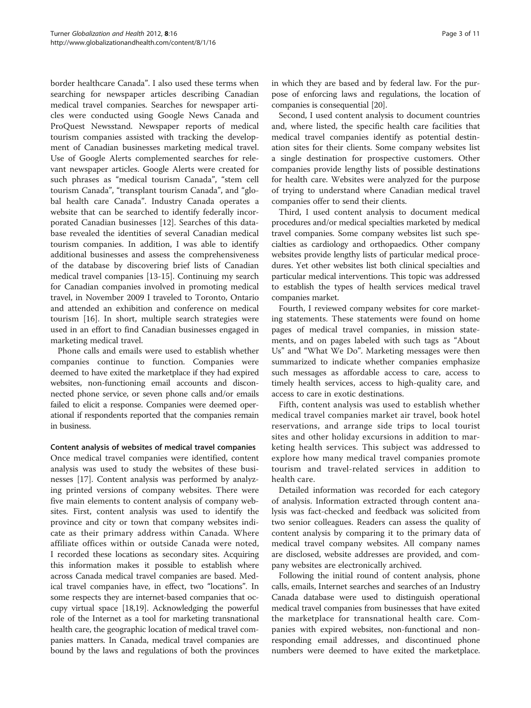border healthcare Canada". I also used these terms when searching for newspaper articles describing Canadian medical travel companies. Searches for newspaper articles were conducted using Google News Canada and ProQuest Newsstand. Newspaper reports of medical tourism companies assisted with tracking the development of Canadian businesses marketing medical travel. Use of Google Alerts complemented searches for relevant newspaper articles. Google Alerts were created for such phrases as "medical tourism Canada", "stem cell tourism Canada", "transplant tourism Canada", and "global health care Canada". Industry Canada operates a website that can be searched to identify federally incorporated Canadian businesses [\[12](#page-9-0)]. Searches of this database revealed the identities of several Canadian medical tourism companies. In addition, I was able to identify additional businesses and assess the comprehensiveness of the database by discovering brief lists of Canadian medical travel companies [\[13](#page-9-0)-[15\]](#page-9-0). Continuing my search for Canadian companies involved in promoting medical travel, in November 2009 I traveled to Toronto, Ontario and attended an exhibition and conference on medical tourism [[16](#page-9-0)]. In short, multiple search strategies were used in an effort to find Canadian businesses engaged in marketing medical travel.

Phone calls and emails were used to establish whether companies continue to function. Companies were deemed to have exited the marketplace if they had expired websites, non-functioning email accounts and disconnected phone service, or seven phone calls and/or emails failed to elicit a response. Companies were deemed operational if respondents reported that the companies remain in business.

Content analysis of websites of medical travel companies

Once medical travel companies were identified, content analysis was used to study the websites of these businesses [[17](#page-9-0)]. Content analysis was performed by analyzing printed versions of company websites. There were five main elements to content analysis of company websites. First, content analysis was used to identify the province and city or town that company websites indicate as their primary address within Canada. Where affiliate offices within or outside Canada were noted, I recorded these locations as secondary sites. Acquiring this information makes it possible to establish where across Canada medical travel companies are based. Medical travel companies have, in effect, two "locations". In some respects they are internet-based companies that occupy virtual space [\[18,19](#page-9-0)]. Acknowledging the powerful role of the Internet as a tool for marketing transnational health care, the geographic location of medical travel companies matters. In Canada, medical travel companies are bound by the laws and regulations of both the provinces in which they are based and by federal law. For the purpose of enforcing laws and regulations, the location of companies is consequential [[20](#page-9-0)].

Second, I used content analysis to document countries and, where listed, the specific health care facilities that medical travel companies identify as potential destination sites for their clients. Some company websites list a single destination for prospective customers. Other companies provide lengthy lists of possible destinations for health care. Websites were analyzed for the purpose of trying to understand where Canadian medical travel companies offer to send their clients.

Third, I used content analysis to document medical procedures and/or medical specialties marketed by medical travel companies. Some company websites list such specialties as cardiology and orthopaedics. Other company websites provide lengthy lists of particular medical procedures. Yet other websites list both clinical specialties and particular medical interventions. This topic was addressed to establish the types of health services medical travel companies market.

Fourth, I reviewed company websites for core marketing statements. These statements were found on home pages of medical travel companies, in mission statements, and on pages labeled with such tags as "About Us" and "What We Do". Marketing messages were then summarized to indicate whether companies emphasize such messages as affordable access to care, access to timely health services, access to high-quality care, and access to care in exotic destinations.

Fifth, content analysis was used to establish whether medical travel companies market air travel, book hotel reservations, and arrange side trips to local tourist sites and other holiday excursions in addition to marketing health services. This subject was addressed to explore how many medical travel companies promote tourism and travel-related services in addition to health care.

Detailed information was recorded for each category of analysis. Information extracted through content analysis was fact-checked and feedback was solicited from two senior colleagues. Readers can assess the quality of content analysis by comparing it to the primary data of medical travel company websites. All company names are disclosed, website addresses are provided, and company websites are electronically archived.

Following the initial round of content analysis, phone calls, emails, Internet searches and searches of an Industry Canada database were used to distinguish operational medical travel companies from businesses that have exited the marketplace for transnational health care. Companies with expired websites, non-functional and nonresponding email addresses, and discontinued phone numbers were deemed to have exited the marketplace.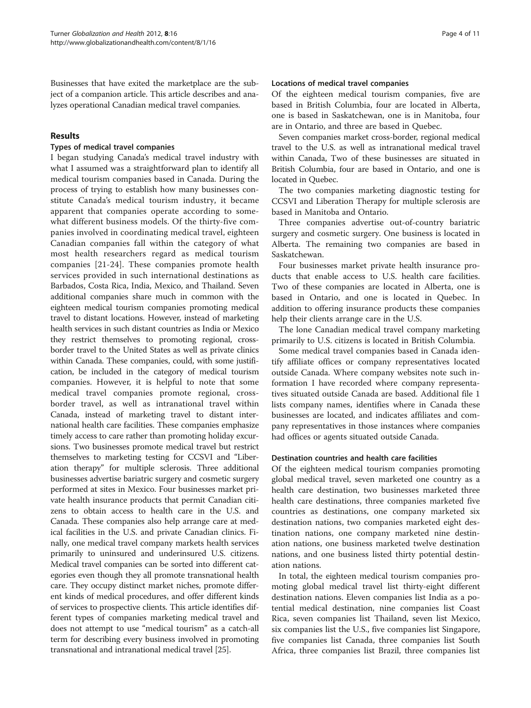Businesses that have exited the marketplace are the subject of a companion article. This article describes and analyzes operational Canadian medical travel companies.

## Results

#### Types of medical travel companies

I began studying Canada's medical travel industry with what I assumed was a straightforward plan to identify all medical tourism companies based in Canada. During the process of trying to establish how many businesses constitute Canada's medical tourism industry, it became apparent that companies operate according to somewhat different business models. Of the thirty-five companies involved in coordinating medical travel, eighteen Canadian companies fall within the category of what most health researchers regard as medical tourism companies [[21-](#page-9-0)[24\]](#page-10-0). These companies promote health services provided in such international destinations as Barbados, Costa Rica, India, Mexico, and Thailand. Seven additional companies share much in common with the eighteen medical tourism companies promoting medical travel to distant locations. However, instead of marketing health services in such distant countries as India or Mexico they restrict themselves to promoting regional, crossborder travel to the United States as well as private clinics within Canada. These companies, could, with some justification, be included in the category of medical tourism companies. However, it is helpful to note that some medical travel companies promote regional, crossborder travel, as well as intranational travel within Canada, instead of marketing travel to distant international health care facilities. These companies emphasize timely access to care rather than promoting holiday excursions. Two businesses promote medical travel but restrict themselves to marketing testing for CCSVI and "Liberation therapy" for multiple sclerosis. Three additional businesses advertise bariatric surgery and cosmetic surgery performed at sites in Mexico. Four businesses market private health insurance products that permit Canadian citizens to obtain access to health care in the U.S. and Canada. These companies also help arrange care at medical facilities in the U.S. and private Canadian clinics. Finally, one medical travel company markets health services primarily to uninsured and underinsured U.S. citizens. Medical travel companies can be sorted into different categories even though they all promote transnational health care. They occupy distinct market niches, promote different kinds of medical procedures, and offer different kinds of services to prospective clients. This article identifies different types of companies marketing medical travel and does not attempt to use "medical tourism" as a catch-all term for describing every business involved in promoting transnational and intranational medical travel [\[25\]](#page-10-0).

#### Locations of medical travel companies

Of the eighteen medical tourism companies, five are based in British Columbia, four are located in Alberta, one is based in Saskatchewan, one is in Manitoba, four are in Ontario, and three are based in Quebec.

Seven companies market cross-border, regional medical travel to the U.S. as well as intranational medical travel within Canada, Two of these businesses are situated in British Columbia, four are based in Ontario, and one is located in Quebec.

The two companies marketing diagnostic testing for CCSVI and Liberation Therapy for multiple sclerosis are based in Manitoba and Ontario.

Three companies advertise out-of-country bariatric surgery and cosmetic surgery. One business is located in Alberta. The remaining two companies are based in Saskatchewan.

Four businesses market private health insurance products that enable access to U.S. health care facilities. Two of these companies are located in Alberta, one is based in Ontario, and one is located in Quebec. In addition to offering insurance products these companies help their clients arrange care in the U.S.

The lone Canadian medical travel company marketing primarily to U.S. citizens is located in British Columbia.

Some medical travel companies based in Canada identify affiliate offices or company representatives located outside Canada. Where company websites note such information I have recorded where company representatives situated outside Canada are based. Additional file [1](#page-9-0) lists company names, identifies where in Canada these businesses are located, and indicates affiliates and company representatives in those instances where companies had offices or agents situated outside Canada.

## Destination countries and health care facilities

Of the eighteen medical tourism companies promoting global medical travel, seven marketed one country as a health care destination, two businesses marketed three health care destinations, three companies marketed five countries as destinations, one company marketed six destination nations, two companies marketed eight destination nations, one company marketed nine destination nations, one business marketed twelve destination nations, and one business listed thirty potential destination nations.

In total, the eighteen medical tourism companies promoting global medical travel list thirty-eight different destination nations. Eleven companies list India as a potential medical destination, nine companies list Coast Rica, seven companies list Thailand, seven list Mexico, six companies list the U.S., five companies list Singapore, five companies list Canada, three companies list South Africa, three companies list Brazil, three companies list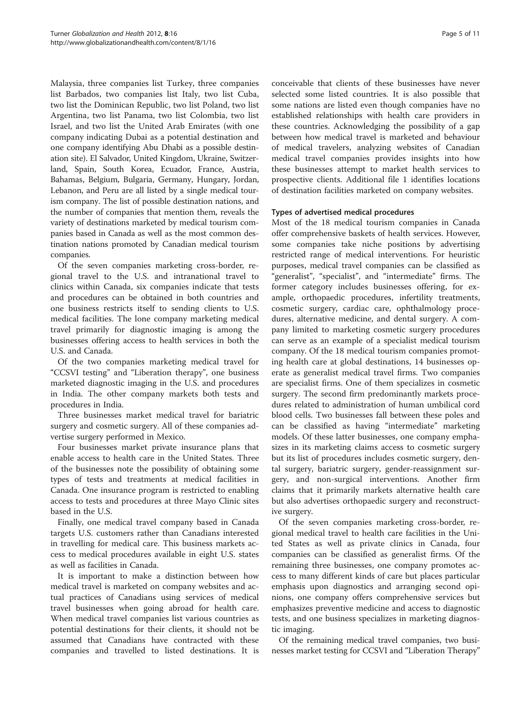Malaysia, three companies list Turkey, three companies list Barbados, two companies list Italy, two list Cuba, two list the Dominican Republic, two list Poland, two list Argentina, two list Panama, two list Colombia, two list Israel, and two list the United Arab Emirates (with one company indicating Dubai as a potential destination and one company identifying Abu Dhabi as a possible destination site). El Salvador, United Kingdom, Ukraine, Switzerland, Spain, South Korea, Ecuador, France, Austria, Bahamas, Belgium, Bulgaria, Germany, Hungary, Jordan, Lebanon, and Peru are all listed by a single medical tourism company. The list of possible destination nations, and the number of companies that mention them, reveals the variety of destinations marketed by medical tourism companies based in Canada as well as the most common destination nations promoted by Canadian medical tourism companies.

Of the seven companies marketing cross-border, regional travel to the U.S. and intranational travel to clinics within Canada, six companies indicate that tests and procedures can be obtained in both countries and one business restricts itself to sending clients to U.S. medical facilities. The lone company marketing medical travel primarily for diagnostic imaging is among the businesses offering access to health services in both the U.S. and Canada.

Of the two companies marketing medical travel for "CCSVI testing" and "Liberation therapy", one business marketed diagnostic imaging in the U.S. and procedures in India. The other company markets both tests and procedures in India.

Three businesses market medical travel for bariatric surgery and cosmetic surgery. All of these companies advertise surgery performed in Mexico.

Four businesses market private insurance plans that enable access to health care in the United States. Three of the businesses note the possibility of obtaining some types of tests and treatments at medical facilities in Canada. One insurance program is restricted to enabling access to tests and procedures at three Mayo Clinic sites based in the U.S.

Finally, one medical travel company based in Canada targets U.S. customers rather than Canadians interested in travelling for medical care. This business markets access to medical procedures available in eight U.S. states as well as facilities in Canada.

It is important to make a distinction between how medical travel is marketed on company websites and actual practices of Canadians using services of medical travel businesses when going abroad for health care. When medical travel companies list various countries as potential destinations for their clients, it should not be assumed that Canadians have contracted with these companies and travelled to listed destinations. It is

conceivable that clients of these businesses have never selected some listed countries. It is also possible that some nations are listed even though companies have no established relationships with health care providers in these countries. Acknowledging the possibility of a gap between how medical travel is marketed and behaviour of medical travelers, analyzing websites of Canadian medical travel companies provides insights into how these businesses attempt to market health services to prospective clients. Additional file [1](#page-9-0) identifies locations of destination facilities marketed on company websites.

## Types of advertised medical procedures

Most of the 18 medical tourism companies in Canada offer comprehensive baskets of health services. However, some companies take niche positions by advertising restricted range of medical interventions. For heuristic purposes, medical travel companies can be classified as "generalist", "specialist", and "intermediate" firms. The former category includes businesses offering, for example, orthopaedic procedures, infertility treatments, cosmetic surgery, cardiac care, ophthalmology procedures, alternative medicine, and dental surgery. A company limited to marketing cosmetic surgery procedures can serve as an example of a specialist medical tourism company. Of the 18 medical tourism companies promoting health care at global destinations, 14 businesses operate as generalist medical travel firms. Two companies are specialist firms. One of them specializes in cosmetic surgery. The second firm predominantly markets procedures related to administration of human umbilical cord blood cells. Two businesses fall between these poles and can be classified as having "intermediate" marketing models. Of these latter businesses, one company emphasizes in its marketing claims access to cosmetic surgery but its list of procedures includes cosmetic surgery, dental surgery, bariatric surgery, gender-reassignment surgery, and non-surgical interventions. Another firm claims that it primarily markets alternative health care but also advertises orthopaedic surgery and reconstructive surgery.

Of the seven companies marketing cross-border, regional medical travel to health care facilities in the United States as well as private clinics in Canada, four companies can be classified as generalist firms. Of the remaining three businesses, one company promotes access to many different kinds of care but places particular emphasis upon diagnostics and arranging second opinions, one company offers comprehensive services but emphasizes preventive medicine and access to diagnostic tests, and one business specializes in marketing diagnostic imaging.

Of the remaining medical travel companies, two businesses market testing for CCSVI and "Liberation Therapy"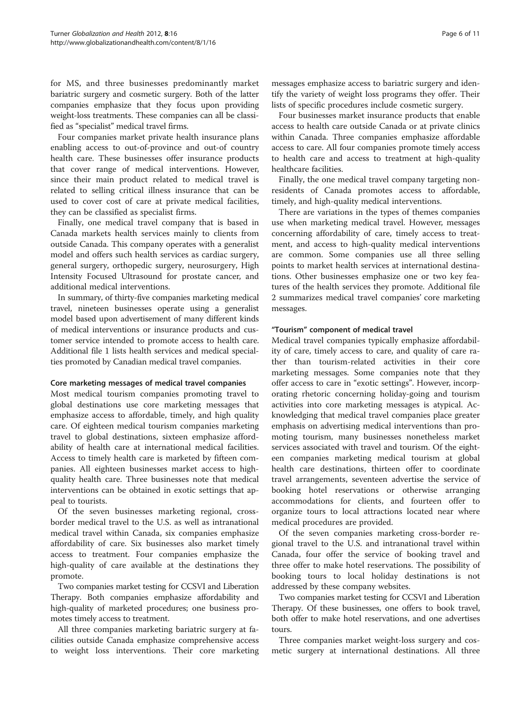for MS, and three businesses predominantly market bariatric surgery and cosmetic surgery. Both of the latter companies emphasize that they focus upon providing weight-loss treatments. These companies can all be classified as "specialist" medical travel firms.

Four companies market private health insurance plans enabling access to out-of-province and out-of country health care. These businesses offer insurance products that cover range of medical interventions. However, since their main product related to medical travel is related to selling critical illness insurance that can be used to cover cost of care at private medical facilities, they can be classified as specialist firms.

Finally, one medical travel company that is based in Canada markets health services mainly to clients from outside Canada. This company operates with a generalist model and offers such health services as cardiac surgery, general surgery, orthopedic surgery, neurosurgery, High Intensity Focused Ultrasound for prostate cancer, and additional medical interventions.

In summary, of thirty-five companies marketing medical travel, nineteen businesses operate using a generalist model based upon advertisement of many different kinds of medical interventions or insurance products and customer service intended to promote access to health care. Additional file [1](#page-9-0) lists health services and medical specialties promoted by Canadian medical travel companies.

#### Core marketing messages of medical travel companies

Most medical tourism companies promoting travel to global destinations use core marketing messages that emphasize access to affordable, timely, and high quality care. Of eighteen medical tourism companies marketing travel to global destinations, sixteen emphasize affordability of health care at international medical facilities. Access to timely health care is marketed by fifteen companies. All eighteen businesses market access to highquality health care. Three businesses note that medical interventions can be obtained in exotic settings that appeal to tourists.

Of the seven businesses marketing regional, crossborder medical travel to the U.S. as well as intranational medical travel within Canada, six companies emphasize affordability of care. Six businesses also market timely access to treatment. Four companies emphasize the high-quality of care available at the destinations they promote.

Two companies market testing for CCSVI and Liberation Therapy. Both companies emphasize affordability and high-quality of marketed procedures; one business promotes timely access to treatment.

All three companies marketing bariatric surgery at facilities outside Canada emphasize comprehensive access to weight loss interventions. Their core marketing

messages emphasize access to bariatric surgery and identify the variety of weight loss programs they offer. Their lists of specific procedures include cosmetic surgery.

Four businesses market insurance products that enable access to health care outside Canada or at private clinics within Canada. Three companies emphasize affordable access to care. All four companies promote timely access to health care and access to treatment at high-quality healthcare facilities.

Finally, the one medical travel company targeting nonresidents of Canada promotes access to affordable, timely, and high-quality medical interventions.

There are variations in the types of themes companies use when marketing medical travel. However, messages concerning affordability of care, timely access to treatment, and access to high-quality medical interventions are common. Some companies use all three selling points to market health services at international destinations. Other businesses emphasize one or two key features of the health services they promote. Additional file [2](#page-9-0) summarizes medical travel companies' core marketing messages.

## "Tourism" component of medical travel

Medical travel companies typically emphasize affordability of care, timely access to care, and quality of care rather than tourism-related activities in their core marketing messages. Some companies note that they offer access to care in "exotic settings". However, incorporating rhetoric concerning holiday-going and tourism activities into core marketing messages is atypical. Acknowledging that medical travel companies place greater emphasis on advertising medical interventions than promoting tourism, many businesses nonetheless market services associated with travel and tourism. Of the eighteen companies marketing medical tourism at global health care destinations, thirteen offer to coordinate travel arrangements, seventeen advertise the service of booking hotel reservations or otherwise arranging accommodations for clients, and fourteen offer to organize tours to local attractions located near where medical procedures are provided.

Of the seven companies marketing cross-border regional travel to the U.S. and intranational travel within Canada, four offer the service of booking travel and three offer to make hotel reservations. The possibility of booking tours to local holiday destinations is not addressed by these company websites.

Two companies market testing for CCSVI and Liberation Therapy. Of these businesses, one offers to book travel, both offer to make hotel reservations, and one advertises tours.

Three companies market weight-loss surgery and cosmetic surgery at international destinations. All three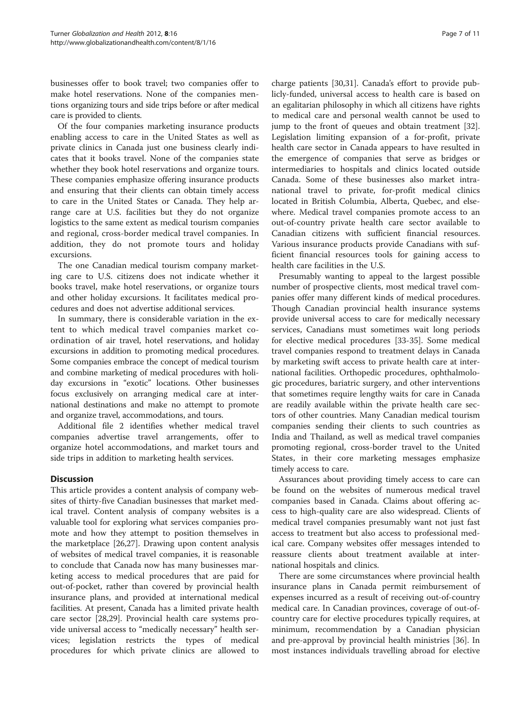businesses offer to book travel; two companies offer to make hotel reservations. None of the companies mentions organizing tours and side trips before or after medical care is provided to clients.

Of the four companies marketing insurance products enabling access to care in the United States as well as private clinics in Canada just one business clearly indicates that it books travel. None of the companies state whether they book hotel reservations and organize tours. These companies emphasize offering insurance products and ensuring that their clients can obtain timely access to care in the United States or Canada. They help arrange care at U.S. facilities but they do not organize logistics to the same extent as medical tourism companies and regional, cross-border medical travel companies. In addition, they do not promote tours and holiday excursions.

The one Canadian medical tourism company marketing care to U.S. citizens does not indicate whether it books travel, make hotel reservations, or organize tours and other holiday excursions. It facilitates medical procedures and does not advertise additional services.

In summary, there is considerable variation in the extent to which medical travel companies market coordination of air travel, hotel reservations, and holiday excursions in addition to promoting medical procedures. Some companies embrace the concept of medical tourism and combine marketing of medical procedures with holiday excursions in "exotic" locations. Other businesses focus exclusively on arranging medical care at international destinations and make no attempt to promote and organize travel, accommodations, and tours.

Additional file [2](#page-9-0) identifies whether medical travel companies advertise travel arrangements, offer to organize hotel accommodations, and market tours and side trips in addition to marketing health services.

## **Discussion**

This article provides a content analysis of company websites of thirty-five Canadian businesses that market medical travel. Content analysis of company websites is a valuable tool for exploring what services companies promote and how they attempt to position themselves in the marketplace [\[26,27\]](#page-10-0). Drawing upon content analysis of websites of medical travel companies, it is reasonable to conclude that Canada now has many businesses marketing access to medical procedures that are paid for out-of-pocket, rather than covered by provincial health insurance plans, and provided at international medical facilities. At present, Canada has a limited private health care sector [\[28,29\]](#page-10-0). Provincial health care systems provide universal access to "medically necessary" health services; legislation restricts the types of medical procedures for which private clinics are allowed to

charge patients [\[30,31\]](#page-10-0). Canada's effort to provide publicly-funded, universal access to health care is based on an egalitarian philosophy in which all citizens have rights to medical care and personal wealth cannot be used to jump to the front of queues and obtain treatment [\[32](#page-10-0)]. Legislation limiting expansion of a for-profit, private health care sector in Canada appears to have resulted in the emergence of companies that serve as bridges or intermediaries to hospitals and clinics located outside Canada. Some of these businesses also market intranational travel to private, for-profit medical clinics located in British Columbia, Alberta, Quebec, and elsewhere. Medical travel companies promote access to an out-of-country private health care sector available to Canadian citizens with sufficient financial resources. Various insurance products provide Canadians with sufficient financial resources tools for gaining access to health care facilities in the U.S.

Presumably wanting to appeal to the largest possible number of prospective clients, most medical travel companies offer many different kinds of medical procedures. Though Canadian provincial health insurance systems provide universal access to care for medically necessary services, Canadians must sometimes wait long periods for elective medical procedures [\[33-35](#page-10-0)]. Some medical travel companies respond to treatment delays in Canada by marketing swift access to private health care at international facilities. Orthopedic procedures, ophthalmologic procedures, bariatric surgery, and other interventions that sometimes require lengthy waits for care in Canada are readily available within the private health care sectors of other countries. Many Canadian medical tourism companies sending their clients to such countries as India and Thailand, as well as medical travel companies promoting regional, cross-border travel to the United States, in their core marketing messages emphasize timely access to care.

Assurances about providing timely access to care can be found on the websites of numerous medical travel companies based in Canada. Claims about offering access to high-quality care are also widespread. Clients of medical travel companies presumably want not just fast access to treatment but also access to professional medical care. Company websites offer messages intended to reassure clients about treatment available at international hospitals and clinics.

There are some circumstances where provincial health insurance plans in Canada permit reimbursement of expenses incurred as a result of receiving out-of-country medical care. In Canadian provinces, coverage of out-ofcountry care for elective procedures typically requires, at minimum, recommendation by a Canadian physician and pre-approval by provincial health ministries [\[36\]](#page-10-0). In most instances individuals travelling abroad for elective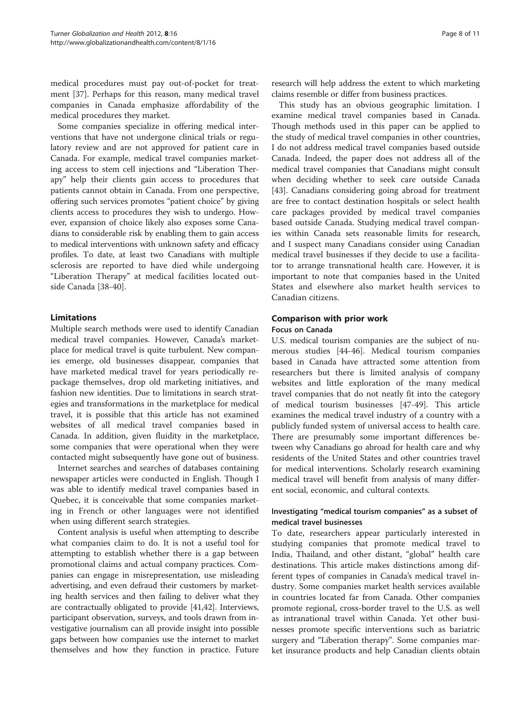medical procedures must pay out-of-pocket for treatment [[37\]](#page-10-0). Perhaps for this reason, many medical travel companies in Canada emphasize affordability of the medical procedures they market.

Some companies specialize in offering medical interventions that have not undergone clinical trials or regulatory review and are not approved for patient care in Canada. For example, medical travel companies marketing access to stem cell injections and "Liberation Therapy" help their clients gain access to procedures that patients cannot obtain in Canada. From one perspective, offering such services promotes "patient choice" by giving clients access to procedures they wish to undergo. However, expansion of choice likely also exposes some Canadians to considerable risk by enabling them to gain access to medical interventions with unknown safety and efficacy profiles. To date, at least two Canadians with multiple sclerosis are reported to have died while undergoing "Liberation Therapy" at medical facilities located outside Canada [[38-40](#page-10-0)].

## Limitations

Multiple search methods were used to identify Canadian medical travel companies. However, Canada's marketplace for medical travel is quite turbulent. New companies emerge, old businesses disappear, companies that have marketed medical travel for years periodically repackage themselves, drop old marketing initiatives, and fashion new identities. Due to limitations in search strategies and transformations in the marketplace for medical travel, it is possible that this article has not examined websites of all medical travel companies based in Canada. In addition, given fluidity in the marketplace, some companies that were operational when they were contacted might subsequently have gone out of business.

Internet searches and searches of databases containing newspaper articles were conducted in English. Though I was able to identify medical travel companies based in Quebec, it is conceivable that some companies marketing in French or other languages were not identified when using different search strategies.

Content analysis is useful when attempting to describe what companies claim to do. It is not a useful tool for attempting to establish whether there is a gap between promotional claims and actual company practices. Companies can engage in misrepresentation, use misleading advertising, and even defraud their customers by marketing health services and then failing to deliver what they are contractually obligated to provide [[41,42\]](#page-10-0). Interviews, participant observation, surveys, and tools drawn from investigative journalism can all provide insight into possible gaps between how companies use the internet to market themselves and how they function in practice. Future

research will help address the extent to which marketing claims resemble or differ from business practices.

This study has an obvious geographic limitation. I examine medical travel companies based in Canada. Though methods used in this paper can be applied to the study of medical travel companies in other countries, I do not address medical travel companies based outside Canada. Indeed, the paper does not address all of the medical travel companies that Canadians might consult when deciding whether to seek care outside Canada [[43\]](#page-10-0). Canadians considering going abroad for treatment are free to contact destination hospitals or select health care packages provided by medical travel companies based outside Canada. Studying medical travel companies within Canada sets reasonable limits for research, and I suspect many Canadians consider using Canadian medical travel businesses if they decide to use a facilitator to arrange transnational health care. However, it is important to note that companies based in the United States and elsewhere also market health services to Canadian citizens.

## Comparison with prior work

## Focus on Canada

U.S. medical tourism companies are the subject of numerous studies [[44-46](#page-10-0)]. Medical tourism companies based in Canada have attracted some attention from researchers but there is limited analysis of company websites and little exploration of the many medical travel companies that do not neatly fit into the category of medical tourism businesses [[47-49\]](#page-10-0). This article examines the medical travel industry of a country with a publicly funded system of universal access to health care. There are presumably some important differences between why Canadians go abroad for health care and why residents of the United States and other countries travel for medical interventions. Scholarly research examining medical travel will benefit from analysis of many different social, economic, and cultural contexts.

## Investigating "medical tourism companies" as a subset of medical travel businesses

To date, researchers appear particularly interested in studying companies that promote medical travel to India, Thailand, and other distant, "global" health care destinations. This article makes distinctions among different types of companies in Canada's medical travel industry. Some companies market health services available in countries located far from Canada. Other companies promote regional, cross-border travel to the U.S. as well as intranational travel within Canada. Yet other businesses promote specific interventions such as bariatric surgery and "Liberation therapy". Some companies market insurance products and help Canadian clients obtain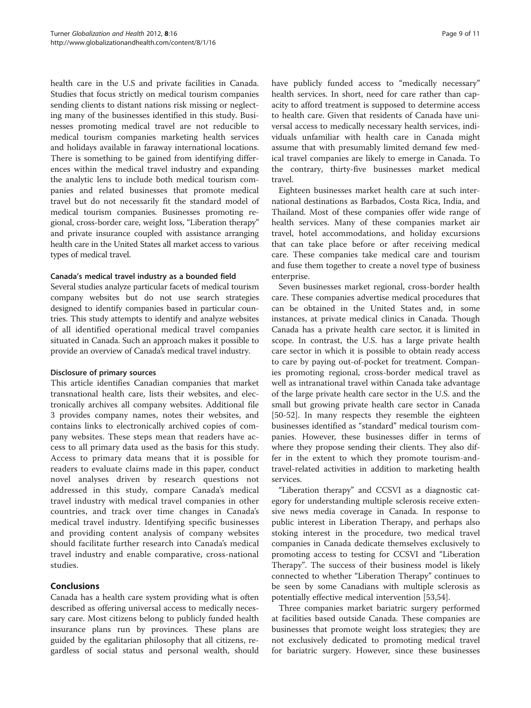health care in the U.S and private facilities in Canada. Studies that focus strictly on medical tourism companies sending clients to distant nations risk missing or neglecting many of the businesses identified in this study. Businesses promoting medical travel are not reducible to medical tourism companies marketing health services and holidays available in faraway international locations. There is something to be gained from identifying differences within the medical travel industry and expanding the analytic lens to include both medical tourism companies and related businesses that promote medical travel but do not necessarily fit the standard model of medical tourism companies. Businesses promoting regional, cross-border care, weight loss, "Liberation therapy" and private insurance coupled with assistance arranging health care in the United States all market access to various types of medical travel.

## Canada's medical travel industry as a bounded field

Several studies analyze particular facets of medical tourism company websites but do not use search strategies designed to identify companies based in particular countries. This study attempts to identify and analyze websites of all identified operational medical travel companies situated in Canada. Such an approach makes it possible to provide an overview of Canada's medical travel industry.

## Disclosure of primary sources

This article identifies Canadian companies that market transnational health care, lists their websites, and electronically archives all company websites. [Additional file](#page-9-0) [3](#page-9-0) provides company names, notes their websites, and contains links to electronically archived copies of company websites. These steps mean that readers have access to all primary data used as the basis for this study. Access to primary data means that it is possible for readers to evaluate claims made in this paper, conduct novel analyses driven by research questions not addressed in this study, compare Canada's medical travel industry with medical travel companies in other countries, and track over time changes in Canada's medical travel industry. Identifying specific businesses and providing content analysis of company websites should facilitate further research into Canada's medical travel industry and enable comparative, cross-national studies.

## **Conclusions**

Canada has a health care system providing what is often described as offering universal access to medically necessary care. Most citizens belong to publicly funded health insurance plans run by provinces. These plans are guided by the egalitarian philosophy that all citizens, regardless of social status and personal wealth, should have publicly funded access to "medically necessary" health services. In short, need for care rather than capacity to afford treatment is supposed to determine access to health care. Given that residents of Canada have universal access to medically necessary health services, individuals unfamiliar with health care in Canada might assume that with presumably limited demand few medical travel companies are likely to emerge in Canada. To the contrary, thirty-five businesses market medical travel.

Eighteen businesses market health care at such international destinations as Barbados, Costa Rica, India, and Thailand. Most of these companies offer wide range of health services. Many of these companies market air travel, hotel accommodations, and holiday excursions that can take place before or after receiving medical care. These companies take medical care and tourism and fuse them together to create a novel type of business enterprise.

Seven businesses market regional, cross-border health care. These companies advertise medical procedures that can be obtained in the United States and, in some instances, at private medical clinics in Canada. Though Canada has a private health care sector, it is limited in scope. In contrast, the U.S. has a large private health care sector in which it is possible to obtain ready access to care by paying out-of-pocket for treatment. Companies promoting regional, cross-border medical travel as well as intranational travel within Canada take advantage of the large private health care sector in the U.S. and the small but growing private health care sector in Canada [[50-52](#page-10-0)]. In many respects they resemble the eighteen businesses identified as "standard" medical tourism companies. However, these businesses differ in terms of where they propose sending their clients. They also differ in the extent to which they promote tourism-andtravel-related activities in addition to marketing health services.

"Liberation therapy" and CCSVI as a diagnostic category for understanding multiple sclerosis receive extensive news media coverage in Canada. In response to public interest in Liberation Therapy, and perhaps also stoking interest in the procedure, two medical travel companies in Canada dedicate themselves exclusively to promoting access to testing for CCSVI and "Liberation Therapy". The success of their business model is likely connected to whether "Liberation Therapy" continues to be seen by some Canadians with multiple sclerosis as potentially effective medical intervention [\[53,54\]](#page-10-0).

Three companies market bariatric surgery performed at facilities based outside Canada. These companies are businesses that promote weight loss strategies; they are not exclusively dedicated to promoting medical travel for bariatric surgery. However, since these businesses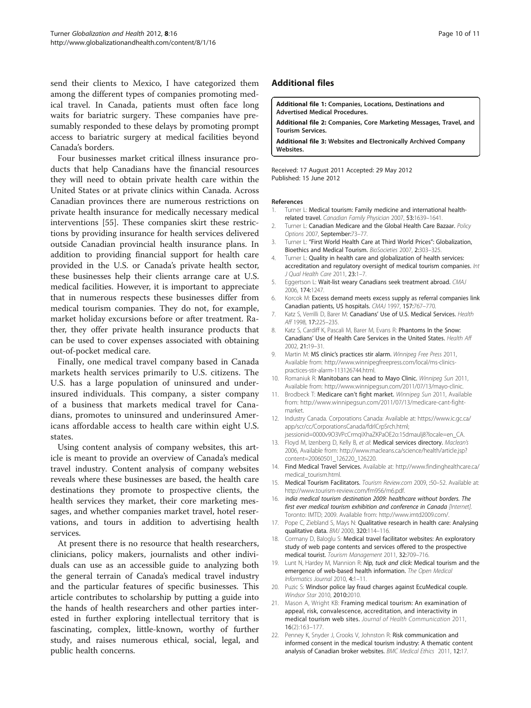<span id="page-9-0"></span>send their clients to Mexico, I have categorized them among the different types of companies promoting medical travel. In Canada, patients must often face long waits for bariatric surgery. These companies have presumably responded to these delays by promoting prompt access to bariatric surgery at medical facilities beyond Canada's borders.

Four businesses market critical illness insurance products that help Canadians have the financial resources they will need to obtain private health care within the United States or at private clinics within Canada. Across Canadian provinces there are numerous restrictions on private health insurance for medically necessary medical interventions [[55\]](#page-10-0). These companies skirt these restrictions by providing insurance for health services delivered outside Canadian provincial health insurance plans. In addition to providing financial support for health care provided in the U.S. or Canada's private health sector, these businesses help their clients arrange care at U.S. medical facilities. However, it is important to appreciate that in numerous respects these businesses differ from medical tourism companies. They do not, for example, market holiday excursions before or after treatment. Rather, they offer private health insurance products that can be used to cover expenses associated with obtaining out-of-pocket medical care.

Finally, one medical travel company based in Canada markets health services primarily to U.S. citizens. The U.S. has a large population of uninsured and underinsured individuals. This company, a sister company of a business that markets medical travel for Canadians, promotes to uninsured and underinsured Americans affordable access to health care within eight U.S. states.

Using content analysis of company websites, this article is meant to provide an overview of Canada's medical travel industry. Content analysis of company websites reveals where these businesses are based, the health care destinations they promote to prospective clients, the health services they market, their core marketing messages, and whether companies market travel, hotel reservations, and tours in addition to advertising health services.

At present there is no resource that health researchers, clinicians, policy makers, journalists and other individuals can use as an accessible guide to analyzing both the general terrain of Canada's medical travel industry and the particular features of specific businesses. This article contributes to scholarship by putting a guide into the hands of health researchers and other parties interested in further exploring intellectual territory that is fascinating, complex, little-known, worthy of further study, and raises numerous ethical, social, legal, and public health concerns.

## Additional files

[Additional file 1](http://www.biomedcentral.com/content/supplementary/1744-8603-8-16-S1.doc): Companies, Locations, Destinations and Advertised Medical Procedures.

[Additional file 2](http://www.biomedcentral.com/content/supplementary/1744-8603-8-16-S2.doc): Companies, Core Marketing Messages, Travel, and Tourism Services.

[Additional file 3](http://www.biomedcentral.com/content/supplementary/1744-8603-8-16-S3.doc): Websites and Electronically Archived Company Websites.

Received: 17 August 2011 Accepted: 29 May 2012 Published: 15 June 2012

#### References

- 1. Turner L: Medical tourism: Family medicine and international healthrelated travel. Canadian Family Physician 2007, 53:1639–1641.
- 2. Turner L: Canadian Medicare and the Global Health Care Bazaar. Policy Options 2007, September:73–77.
- 3. Turner L: "First World Health Care at Third World Prices": Globalization, Bioethics and Medical Tourism. BioSocieties 2007, 2:303–325.
- 4. Turner L: Quality in health care and globalization of health services: accreditation and regulatory oversight of medical tourism companies. Int J Qual Health Care 2011, 23:1–7.
- 5. Eggertson L: Wait-list weary Canadians seek treatment abroad. CMAJ 2006, 174:1247.
- 6. Korcok M: Excess demand meets excess supply as referral companies link Canadian patients, US hospitals. CMAJ 1997, 157:767–770.
- 7. Katz S, Verrilli D, Barer M: Canadians' Use of U.S. Medical Services. Health Aff 1998, 17:225–235.
- 8. Katz S, Cardiff K, Pascali M, Barer M, Evans R: Phantoms In the Snow: Canadians' Use of Health Care Services in the United States. Health Aff 2002, 21:19–31.
- 9. Martin M: MS clinic's practices stir alarm. Winnipeg Free Press 2011, Available from: [http://www.winnipegfreepress.com/local/ms-clinics](http://www.winnipegfreepress.com/local/ms-clinics-practices-stir-alarm-113126744.html)[practices-stir-alarm-113126744.html](http://www.winnipegfreepress.com/local/ms-clinics-practices-stir-alarm-113126744.html).
- 10. Romaniuk R: Manitobans can head to Mayo Clinic. Winnipeg Sun 2011, Available from: [http://www.winnipegsun.com/2011/07/13/mayo-clinic.](http://www.winnipegsun.com/2011/07/13/mayo-clinic)
- 11. Brodbeck T: Medicare can't fight market. Winnipeg Sun 2011, Available from: [http://www.winnipegsun.com/2011/07/13/medicare-cant-fight](http://www.winnipegsun.com/2011/07/13/medicare-cant-fight-market)[market.](http://www.winnipegsun.com/2011/07/13/medicare-cant-fight-market)
- 12. Industry Canada. Corporations Canada: Available at: [https://www.ic.gc.ca/](https://www.ic.gc.ca/app/scr/cc/CorporationsCanada/fdrlCrpSrch.html;jsessionid=0000v9O3VPcCrmqiXhaZKPaOE2o:15dmaulj8?locale=en_CA) [app/scr/cc/CorporationsCanada/fdrlCrpSrch.html;](https://www.ic.gc.ca/app/scr/cc/CorporationsCanada/fdrlCrpSrch.html;jsessionid=0000v9O3VPcCrmqiXhaZKPaOE2o:15dmaulj8?locale=en_CA)
- [jsessionid=0000v9O3VPcCrmqiXhaZKPaOE2o:15dmaulj8?locale=en\\_CA](https://www.ic.gc.ca/app/scr/cc/CorporationsCanada/fdrlCrpSrch.html;jsessionid=0000v9O3VPcCrmqiXhaZKPaOE2o:15dmaulj8?locale=en_CA). 13. Floyd M, Izenberg D, Kelly B, et al: Medical services directory. Maclean's 2006, Available from: [http://www.macleans.ca/science/health/article.jsp?](http://www.macleans.ca/science/health/article.jsp?content=20060501_126220_126220) [content=20060501\\_126220\\_126220.](http://www.macleans.ca/science/health/article.jsp?content=20060501_126220_126220)
- 14. Find Medical Travel Services. Available at: [http://www.findinghealthcare.ca/](http://www.findinghealthcare.ca/medical_tourism.html) [medical\\_tourism.html.](http://www.findinghealthcare.ca/medical_tourism.html)
- 15. Medical Tourism Facilitators. Tourism Review.com 2009, :50-52. Available at: <http://www.tourism-review.com/fm956/m6.pdf>.
- 16. India medical tourism destination 2009: healthcare without borders. The first ever medical tourism exhibition and conference in Canada [Internet]. Toronto: IMTD; 2009. Available from: [http://www.imtd2009.com/.](http://www.imtd2009.com/)
- 17. Pope C, Ziebland S, Mays N: Qualitative research in health care: Analysing qualitative data. BMJ 2000, 320:114–116.
- 18. Cormany D, Baloglu S: Medical travel facilitator websites: An exploratory study of web page contents and services offered to the prospective medical tourist. Tourism Management 2011, 32:709–716.
- 19. Lunt N, Hardey M, Mannion R: Nip, tuck and click: Medical tourism and the emergence of web-based health information. The Open Medical Informatics Journal 2010, 4:1–11.
- 20. Puzic S: Windsor police lay fraud charges against EcuMedical couple. Windsor Star 2010, 2010:2010.
- 21. Mason A, Wright KB: Framing medical tourism: An examination of appeal, risk, convalescence, accreditation, and interactivity in medical tourism web sites. Journal of Health Communication 2011, 16(2):163–177.
- 22. Penney K, Snyder J, Crooks V, Johnston R: Risk communication and informed consent in the medical tourism industry: A thematic content analysis of Canadian broker websites. BMC Medical Ethics 2011, 12:17.